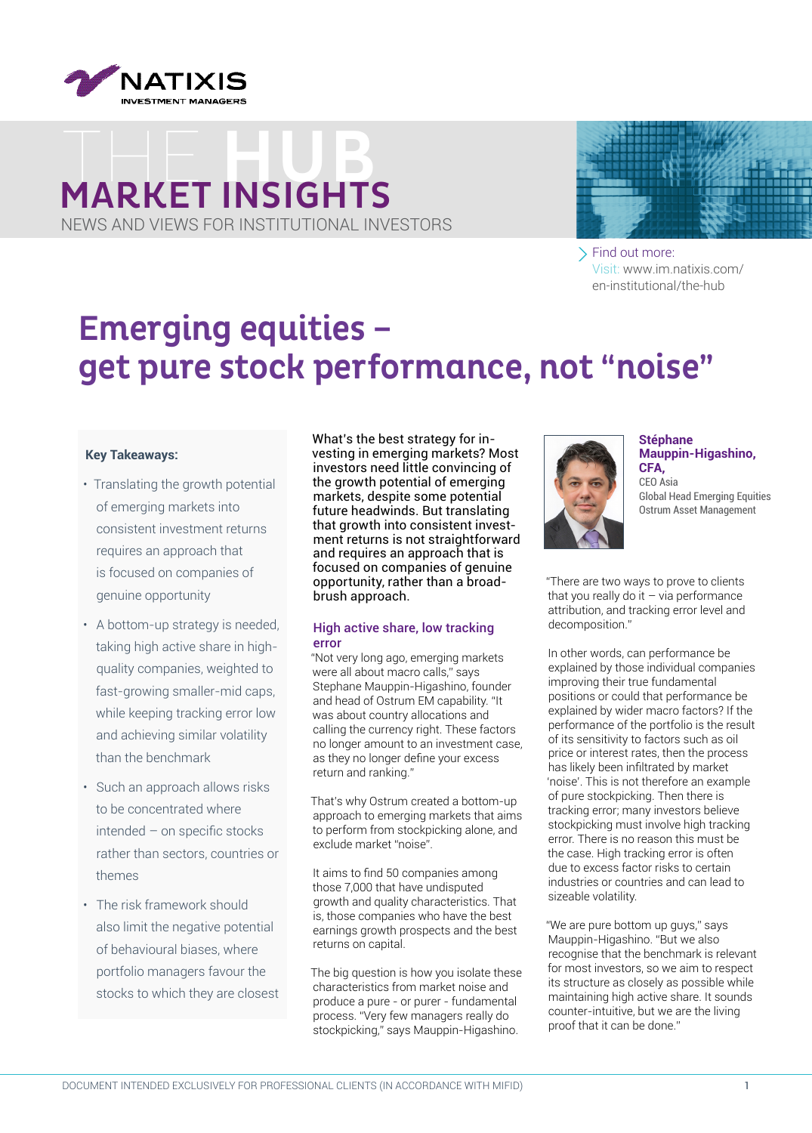

## MARKET INSIGHTS NEWS AND VIEWS FOR INSTITUTIONAL INVESTORS



Find out more: Visit: www.im.natixis.com/ [en-institutional/the-hub](www.im.natixis.com/en-institutional/the-hub)

### Emerging equities – get pure stock performance, not "noise"

#### **Key Takeaways:**

- Translating the growth potential of emerging markets into consistent investment returns requires an approach that is focused on companies of genuine opportunity
- A bottom-up strategy is needed, taking high active share in highquality companies, weighted to fast-growing smaller-mid caps, while keeping tracking error low and achieving similar volatility than the benchmark
- Such an approach allows risks to be concentrated where intended – on specific stocks rather than sectors, countries or themes
- The risk framework should also limit the negative potential of behavioural biases, where portfolio managers favour the stocks to which they are closest

What's the best strategy for investing in emerging markets? Most investors need little convincing of the growth potential of emerging markets, despite some potential future headwinds. But translating that growth into consistent investment returns is not straightforward and requires an approach that is focused on companies of genuine opportunity, rather than a broadbrush approach.

#### High active share, low tracking error

"Not very long ago, emerging markets were all about macro calls," says Stephane Mauppin-Higashino, founder and head of Ostrum EM capability. "It was about country allocations and calling the currency right. These factors no longer amount to an investment case, as they no longer define your excess return and ranking."

That's why Ostrum created a bottom-up approach to emerging markets that aims to perform from stockpicking alone, and exclude market "noise".

It aims to find 50 companies among those 7,000 that have undisputed growth and quality characteristics. That is, those companies who have the best earnings growth prospects and the best returns on capital.

The big question is how you isolate these characteristics from market noise and produce a pure - or purer - fundamental process. "Very few managers really do stockpicking," says Mauppin-Higashino.



**Stéphane Mauppin-Higashino, CFA,**  CEO Asia Global Head Emerging Equities Ostrum Asset Management

"There are two ways to prove to clients that you really do it  $-$  via performance attribution, and tracking error level and decomposition."

In other words, can performance be explained by those individual companies improving their true fundamental positions or could that performance be explained by wider macro factors? If the performance of the portfolio is the result of its sensitivity to factors such as oil price or interest rates, then the process has likely been infiltrated by market 'noise'. This is not therefore an example of pure stockpicking. Then there is tracking error; many investors believe stockpicking must involve high tracking error. There is no reason this must be the case. High tracking error is often due to excess factor risks to certain industries or countries and can lead to sizeable volatility.

"We are pure bottom up guys," says Mauppin-Higashino. "But we also recognise that the benchmark is relevant for most investors, so we aim to respect its structure as closely as possible while maintaining high active share. It sounds counter-intuitive, but we are the living proof that it can be done."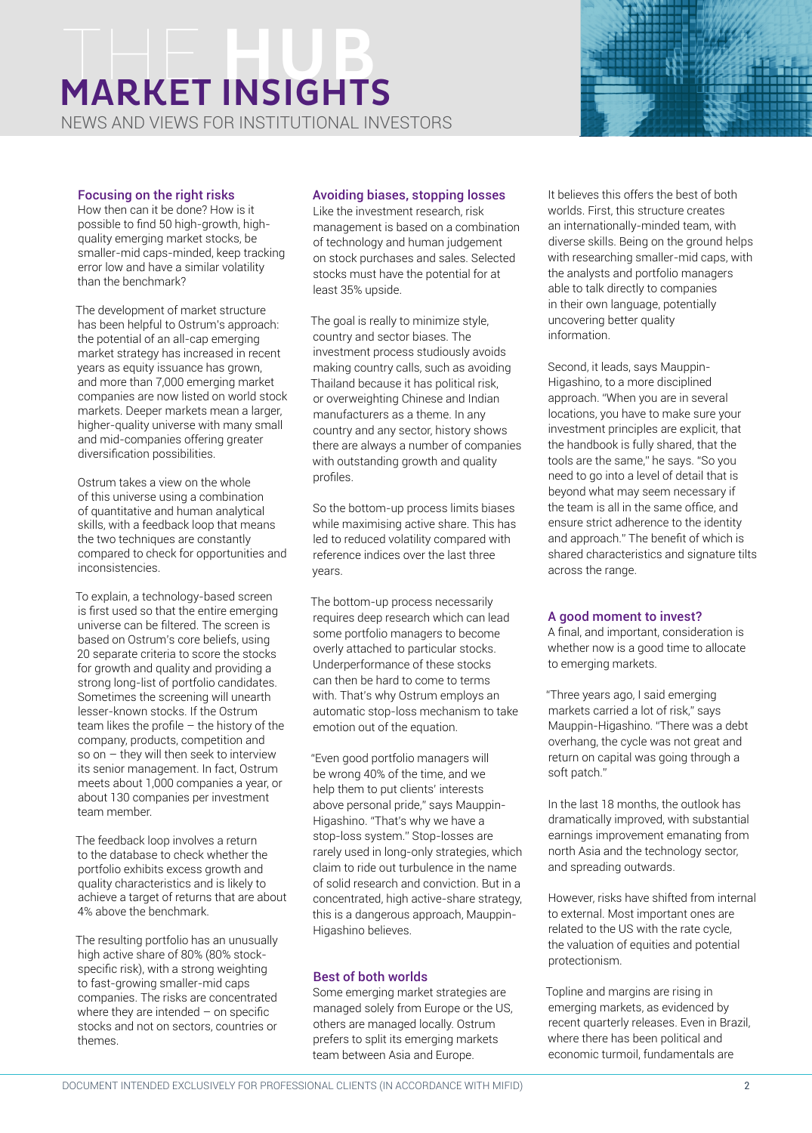## **MARKET INSIGHTS**

NEWS AND VIEWS FOR INSTITUTIONAL INVESTORS

#### Focusing on the right risks

How then can it be done? How is it possible to find 50 high-growth, highquality emerging market stocks, be smaller-mid caps-minded, keep tracking error low and have a similar volatility than the benchmark?

The development of market structure has been helpful to Ostrum's approach: the potential of an all-cap emerging market strategy has increased in recent years as equity issuance has grown, and more than 7,000 emerging market companies are now listed on world stock markets. Deeper markets mean a larger, higher-quality universe with many small and mid-companies offering greater diversification possibilities.

Ostrum takes a view on the whole of this universe using a combination of quantitative and human analytical skills, with a feedback loop that means the two techniques are constantly compared to check for opportunities and inconsistencies.

To explain, a technology-based screen is first used so that the entire emerging universe can be filtered. The screen is based on Ostrum's core beliefs, using 20 separate criteria to score the stocks for growth and quality and providing a strong long-list of portfolio candidates. Sometimes the screening will unearth lesser-known stocks. If the Ostrum team likes the profile – the history of the company, products, competition and so on – they will then seek to interview its senior management. In fact, Ostrum meets about 1,000 companies a year, or about 130 companies per investment team member.

The feedback loop involves a return to the database to check whether the portfolio exhibits excess growth and quality characteristics and is likely to achieve a target of returns that are about 4% above the benchmark.

The resulting portfolio has an unusually high active share of 80% (80% stockspecific risk), with a strong weighting to fast-growing smaller-mid caps companies. The risks are concentrated where they are intended  $-$  on specific stocks and not on sectors, countries or themes.

#### Avoiding biases, stopping losses

Like the investment research, risk management is based on a combination of technology and human judgement on stock purchases and sales. Selected stocks must have the potential for at least 35% upside.

The goal is really to minimize style, country and sector biases. The investment process studiously avoids making country calls, such as avoiding Thailand because it has political risk, or overweighting Chinese and Indian manufacturers as a theme. In any country and any sector, history shows there are always a number of companies with outstanding growth and quality profiles.

So the bottom-up process limits biases while maximising active share. This has led to reduced volatility compared with reference indices over the last three years.

The bottom-up process necessarily requires deep research which can lead some portfolio managers to become overly attached to particular stocks. Underperformance of these stocks can then be hard to come to terms with. That's why Ostrum employs an automatic stop-loss mechanism to take emotion out of the equation.

"Even good portfolio managers will be wrong 40% of the time, and we help them to put clients' interests above personal pride," says Mauppin-Higashino. "That's why we have a stop-loss system." Stop-losses are rarely used in long-only strategies, which claim to ride out turbulence in the name of solid research and conviction. But in a concentrated, high active-share strategy, this is a dangerous approach, Mauppin-Higashino believes.

#### Best of both worlds

Some emerging market strategies are managed solely from Europe or the US, others are managed locally. Ostrum prefers to split its emerging markets team between Asia and Europe.

It believes this offers the best of both worlds. First, this structure creates an internationally-minded team, with diverse skills. Being on the ground helps with researching smaller-mid caps, with the analysts and portfolio managers able to talk directly to companies in their own language, potentially uncovering better quality information.

Second, it leads, says Mauppin-Higashino, to a more disciplined approach. "When you are in several locations, you have to make sure your investment principles are explicit, that the handbook is fully shared, that the tools are the same," he says. "So you need to go into a level of detail that is beyond what may seem necessary if the team is all in the same office, and ensure strict adherence to the identity and approach." The benefit of which is shared characteristics and signature tilts across the range.

#### A good moment to invest?

A final, and important, consideration is whether now is a good time to allocate to emerging markets.

"Three years ago, I said emerging markets carried a lot of risk," says Mauppin-Higashino. "There was a debt overhang, the cycle was not great and return on capital was going through a soft patch."

In the last 18 months, the outlook has dramatically improved, with substantial earnings improvement emanating from north Asia and the technology sector, and spreading outwards.

However, risks have shifted from internal to external. Most important ones are related to the US with the rate cycle, the valuation of equities and potential protectionism.

Topline and margins are rising in emerging markets, as evidenced by recent quarterly releases. Even in Brazil, where there has been political and economic turmoil, fundamentals are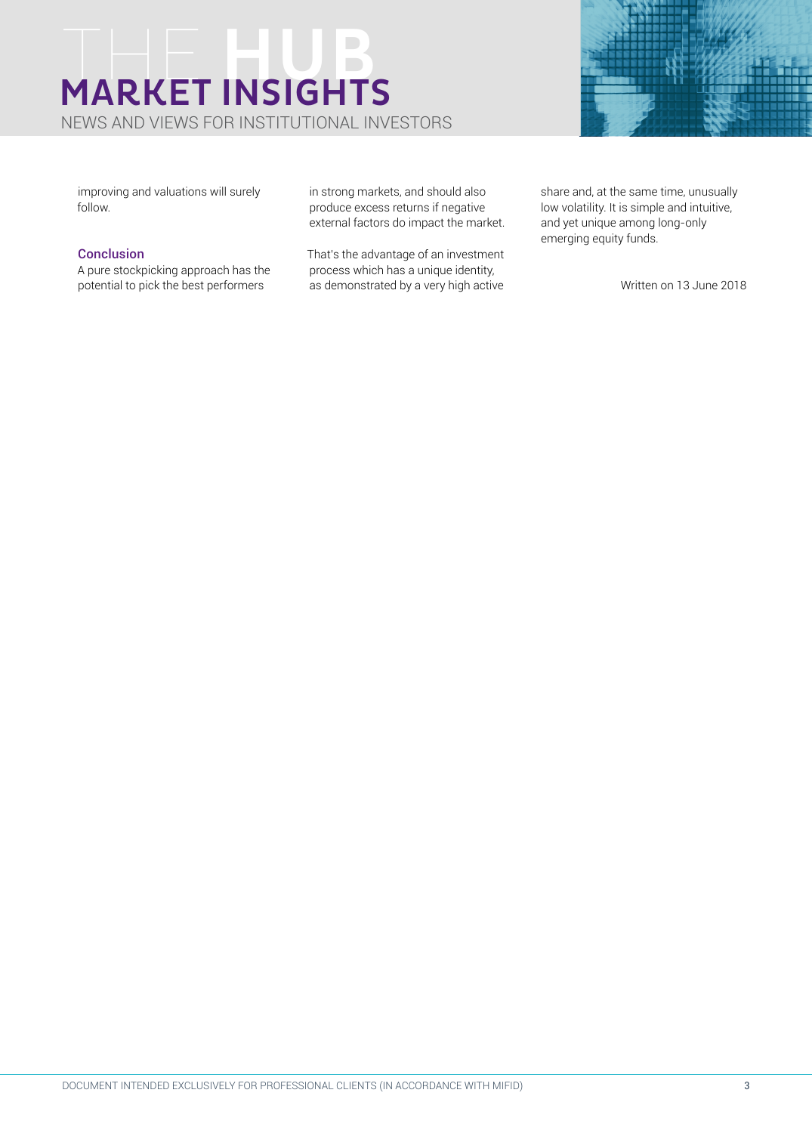# MARKET INSIGHTS

NEWS AND VIEWS FOR INSTITUTIONAL INVESTORS



improving and valuations will surely follow.

#### Conclusion

A pure stockpicking approach has the potential to pick the best performers

in strong markets, and should also produce excess returns if negative external factors do impact the market.

That's the advantage of an investment process which has a unique identity, as demonstrated by a very high active

share and, at the same time, unusually low volatility. It is simple and intuitive, and yet unique among long-only emerging equity funds.

Written on 13 June 2018